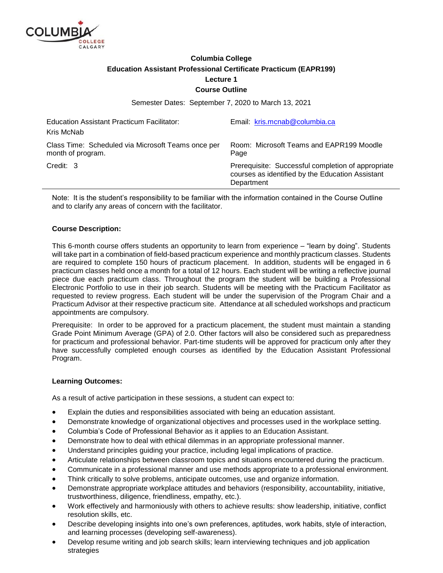

# **Columbia College Education Assistant Professional Certificate Practicum (EAPR199) Lecture 1 Course Outline**

Semester Dates: September 7, 2020 to March 13, 2021

| Education Assistant Practicum Facilitator:<br>Kris McNab                | Email: kris.mcnab@columbia.ca                                                                                        |
|-------------------------------------------------------------------------|----------------------------------------------------------------------------------------------------------------------|
| Class Time: Scheduled via Microsoft Teams once per<br>month of program. | Room: Microsoft Teams and EAPR199 Moodle<br>Page                                                                     |
| Credit: 3                                                               | Prerequisite: Successful completion of appropriate<br>courses as identified by the Education Assistant<br>Department |

Note: It is the student's responsibility to be familiar with the information contained in the Course Outline and to clarify any areas of concern with the facilitator.

# **Course Description:**

This 6-month course offers students an opportunity to learn from experience – "learn by doing". Students will take part in a combination of field-based practicum experience and monthly practicum classes. Students are required to complete 150 hours of practicum placement. In addition, students will be engaged in 6 practicum classes held once a month for a total of 12 hours. Each student will be writing a reflective journal piece due each practicum class. Throughout the program the student will be building a Professional Electronic Portfolio to use in their job search. Students will be meeting with the Practicum Facilitator as requested to review progress. Each student will be under the supervision of the Program Chair and a Practicum Advisor at their respective practicum site. Attendance at all scheduled workshops and practicum appointments are compulsory.

Prerequisite: In order to be approved for a practicum placement, the student must maintain a standing Grade Point Minimum Average (GPA) of 2.0. Other factors will also be considered such as preparedness for practicum and professional behavior. Part-time students will be approved for practicum only after they have successfully completed enough courses as identified by the Education Assistant Professional Program.

## **Learning Outcomes:**

As a result of active participation in these sessions, a student can expect to:

- Explain the duties and responsibilities associated with being an education assistant.
- Demonstrate knowledge of organizational objectives and processes used in the workplace setting.
- Columbia's Code of Professional Behavior as it applies to an Education Assistant.
- Demonstrate how to deal with ethical dilemmas in an appropriate professional manner.
- Understand principles guiding your practice, including legal implications of practice.
- Articulate relationships between classroom topics and situations encountered during the practicum.
- Communicate in a professional manner and use methods appropriate to a professional environment.
- Think critically to solve problems, anticipate outcomes, use and organize information.
- Demonstrate appropriate workplace attitudes and behaviors (responsibility, accountability, initiative, trustworthiness, diligence, friendliness, empathy, etc.).
- Work effectively and harmoniously with others to achieve results: show leadership, initiative, conflict resolution skills, etc.
- Describe developing insights into one's own preferences, aptitudes, work habits, style of interaction, and learning processes (developing self-awareness).
- Develop resume writing and job search skills; learn interviewing techniques and job application strategies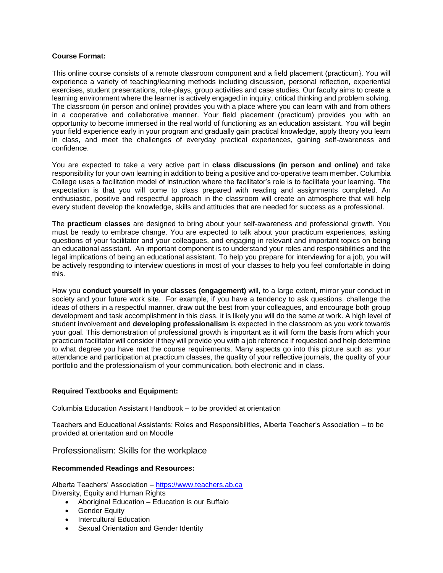## **Course Format:**

This online course consists of a remote classroom component and a field placement (practicum}. You will experience a variety of teaching/learning methods including discussion, personal reflection, experiential exercises, student presentations, role-plays, group activities and case studies. Our faculty aims to create a learning environment where the learner is actively engaged in inquiry, critical thinking and problem solving. The classroom (in person and online) provides you with a place where you can learn with and from others in a cooperative and collaborative manner. Your field placement (practicum) provides you with an opportunity to become immersed in the real world of functioning as an education assistant. You will begin your field experience early in your program and gradually gain practical knowledge, apply theory you learn in class, and meet the challenges of everyday practical experiences, gaining self-awareness and confidence.

You are expected to take a very active part in **class discussions (in person and online)** and take responsibility for your own learning in addition to being a positive and co-operative team member. Columbia College uses a facilitation model of instruction where the facilitator's role is to facilitate your learning. The expectation is that you will come to class prepared with reading and assignments completed. An enthusiastic, positive and respectful approach in the classroom will create an atmosphere that will help every student develop the knowledge, skills and attitudes that are needed for success as a professional.

The **practicum classes** are designed to bring about your self-awareness and professional growth. You must be ready to embrace change. You are expected to talk about your practicum experiences, asking questions of your facilitator and your colleagues, and engaging in relevant and important topics on being an educational assistant. An important component is to understand your roles and responsibilities and the legal implications of being an educational assistant. To help you prepare for interviewing for a job, you will be actively responding to interview questions in most of your classes to help you feel comfortable in doing this.

How you **conduct yourself in your classes (engagement)** will, to a large extent, mirror your conduct in society and your future work site. For example, if you have a tendency to ask questions, challenge the ideas of others in a respectful manner, draw out the best from your colleagues, and encourage both group development and task accomplishment in this class, it is likely you will do the same at work. A high level of student involvement and **developing professionalism** is expected in the classroom as you work towards your goal. This demonstration of professional growth is important as it will form the basis from which your practicum facilitator will consider if they will provide you with a job reference if requested and help determine to what degree you have met the course requirements. Many aspects go into this picture such as: your attendance and participation at practicum classes, the quality of your reflective journals, the quality of your portfolio and the professionalism of your communication, both electronic and in class.

## **Required Textbooks and Equipment:**

Columbia Education Assistant Handbook – to be provided at orientation

Teachers and Educational Assistants: Roles and Responsibilities, Alberta Teacher's Association – to be provided at orientation and on Moodle

Professionalism: Skills for the workplace

## **Recommended Readings and Resources:**

Alberta Teachers' Association – [https://www.teachers.ab.ca](https://www.teachers.ab.ca/) Diversity, Equity and Human Rights

- Aboriginal Education Education is our Buffalo
- **•** Gender Equity
- Intercultural Education
- Sexual Orientation and Gender Identity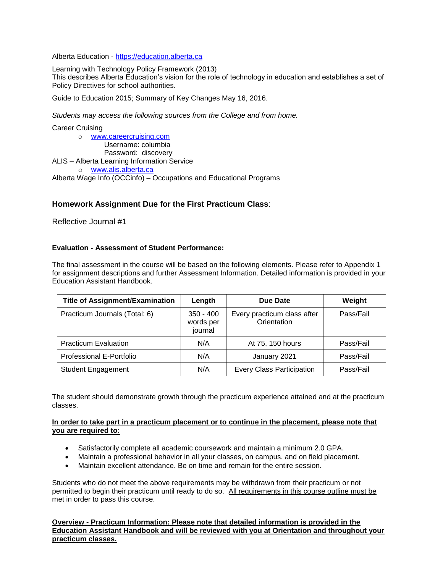Alberta Education - [https://education.alberta.ca](https://education.alberta.ca/)

Learning with Technology Policy Framework (2013)

This describes Alberta Education's vision for the role of technology in education and establishes a set of Policy Directives for school authorities.

Guide to Education 2015; Summary of Key Changes May 16, 2016.

*Students may access the following sources from the College and from home.*

#### Career Cruising

o [www.careercruising.com](http://www.careercruising.com/) Username: columbia Password: discovery ALIS – Alberta Learning Information Service o [www.alis.alberta.ca](http://www.alis.alberta.ca/) Alberta Wage Info (OCCinfo) – Occupations and Educational Programs

# **Homework Assignment Due for the First Practicum Class**:

Reflective Journal #1

## **Evaluation - Assessment of Student Performance:**

The final assessment in the course will be based on the following elements. Please refer to Appendix 1 for assignment descriptions and further Assessment Information. Detailed information is provided in your Education Assistant Handbook.

| <b>Title of Assignment/Examination</b> | Length                              | Due Date                                   | Weight    |
|----------------------------------------|-------------------------------------|--------------------------------------------|-----------|
| Practicum Journals (Total: 6)          | $350 - 400$<br>words per<br>journal | Every practicum class after<br>Orientation | Pass/Fail |
| <b>Practicum Evaluation</b>            | N/A                                 | At 75, 150 hours                           | Pass/Fail |
| Professional E-Portfolio               | N/A                                 | January 2021                               | Pass/Fail |
| <b>Student Engagement</b>              | N/A                                 | <b>Every Class Participation</b>           | Pass/Fail |

The student should demonstrate growth through the practicum experience attained and at the practicum classes.

#### **In order to take part in a practicum placement or to continue in the placement, please note that you are required to:**

- Satisfactorily complete all academic coursework and maintain a minimum 2.0 GPA.
- Maintain a professional behavior in all your classes, on campus, and on field placement.
- Maintain excellent attendance. Be on time and remain for the entire session.

Students who do not meet the above requirements may be withdrawn from their practicum or not permitted to begin their practicum until ready to do so. All requirements in this course outline must be met in order to pass this course.

**Overview - Practicum Information: Please note that detailed information is provided in the Education Assistant Handbook and will be reviewed with you at Orientation and throughout your practicum classes.**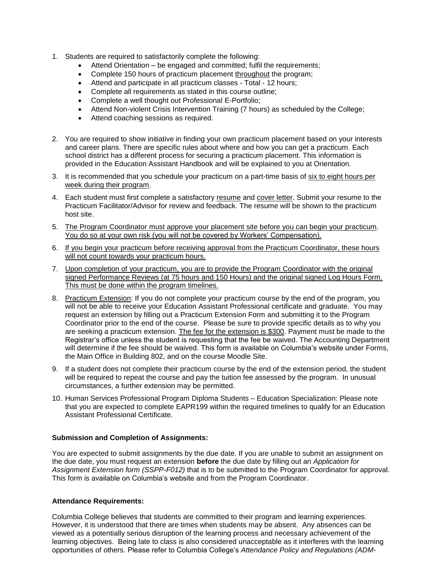- 1. Students are required to satisfactorily complete the following:
	- Attend Orientation be engaged and committed; fulfil the requirements;
	- Complete 150 hours of practicum placement throughout the program;
	- Attend and participate in all practicum classes Total 12 hours;
	- Complete all requirements as stated in this course outline;
	- Complete a well thought out Professional E-Portfolio;
	- Attend Non-violent Crisis Intervention Training (7 hours) as scheduled by the College;
	- Attend coaching sessions as required.
- 2. You are required to show initiative in finding your own practicum placement based on your interests and career plans. There are specific rules about where and how you can get a practicum. Each school district has a different process for securing a practicum placement. This information is provided in the Education Assistant Handbook and will be explained to you at Orientation.
- 3. It is recommended that you schedule your practicum on a part-time basis of six to eight hours per week during their program.
- 4. Each student must first complete a satisfactory resume and cover letter. Submit your resume to the Practicum Facilitator/Advisor for review and feedback. The resume will be shown to the practicum host site.
- 5. The Program Coordinator must approve your placement site before you can begin your practicum. You do so at your own risk (you will not be covered by Workers' Compensation).
- 6. If you begin your practicum before receiving approval from the Practicum Coordinator, these hours will not count towards your practicum hours.
- 7. Upon completion of your practicum, you are to provide the Program Coordinator with the original signed Performance Reviews (at 75 hours and 150 Hours) and the original signed Log Hours Form. This must be done within the program timelines.
- 8. Practicum Extension: If you do not complete your practicum course by the end of the program, you will not be able to receive your Education Assistant Professional certificate and graduate. You may request an extension by filling out a Practicum Extension Form and submitting it to the Program Coordinator prior to the end of the course. Please be sure to provide specific details as to why you are seeking a practicum extension. The fee for the extension is \$300. Payment must be made to the Registrar's office unless the student is requesting that the fee be waived. The Accounting Department will determine if the fee should be waived. This form is available on Columbia's website under Forms, the Main Office in Building 802, and on the course Moodle Site.
- 9. If a student does not complete their practicum course by the end of the extension period, the student will be required to repeat the course and pay the tuition fee assessed by the program. In unusual circumstances, a further extension may be permitted.
- 10. Human Services Professional Program Diploma Students Education Specialization: Please note that you are expected to complete EAPR199 within the required timelines to qualify for an Education Assistant Professional Certificate.

## **Submission and Completion of Assignments:**

You are expected to submit assignments by the due date. If you are unable to submit an assignment on the due date, you must request an extension **before** the due date by filling out an *Application for Assignment Extension form (SSPP-F012)* that is to be submitted to the Program Coordinator for approval. This form is available on Columbia's website and from the Program Coordinator.

## **Attendance Requirements:**

Columbia College believes that students are committed to their program and learning experiences. However, it is understood that there are times when students may be absent. Any absences can be viewed as a potentially serious disruption of the learning process and necessary achievement of the learning objectives. Being late to class is also considered unacceptable as it interferes with the learning opportunities of others. Please refer to Columbia College's *Attendance Policy and Regulations (ADM-*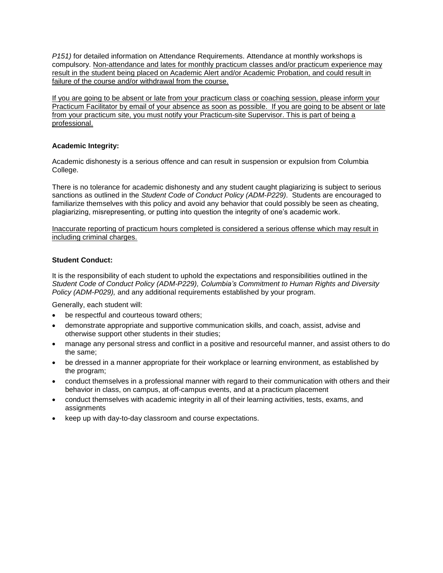*P151)* for detailed information on Attendance Requirements. Attendance at monthly workshops is compulsory. Non-attendance and lates for monthly practicum classes and/or practicum experience may result in the student being placed on Academic Alert and/or Academic Probation, and could result in failure of the course and/or withdrawal from the course.

If you are going to be absent or late from your practicum class or coaching session, please inform your Practicum Facilitator by email of your absence as soon as possible. If you are going to be absent or late from your practicum site, you must notify your Practicum-site Supervisor. This is part of being a professional.

# **Academic Integrity:**

Academic dishonesty is a serious offence and can result in suspension or expulsion from Columbia College.

There is no tolerance for academic dishonesty and any student caught plagiarizing is subject to serious sanctions as outlined in the *Student Code of Conduct Policy (ADM-P229)*. Students are encouraged to familiarize themselves with this policy and avoid any behavior that could possibly be seen as cheating, plagiarizing, misrepresenting, or putting into question the integrity of one's academic work.

Inaccurate reporting of practicum hours completed is considered a serious offense which may result in including criminal charges.

# **Student Conduct:**

It is the responsibility of each student to uphold the expectations and responsibilities outlined in the *Student Code of Conduct Policy (ADM-P229), Columbia's Commitment to Human Rights and Diversity Policy (ADM-P029),* and any additional requirements established by your program.

Generally, each student will:

- be respectful and courteous toward others;
- demonstrate appropriate and supportive communication skills, and coach, assist, advise and otherwise support other students in their studies;
- manage any personal stress and conflict in a positive and resourceful manner, and assist others to do the same;
- be dressed in a manner appropriate for their workplace or learning environment, as established by the program;
- conduct themselves in a professional manner with regard to their communication with others and their behavior in class, on campus, at off-campus events, and at a practicum placement
- conduct themselves with academic integrity in all of their learning activities, tests, exams, and assignments
- keep up with day-to-day classroom and course expectations.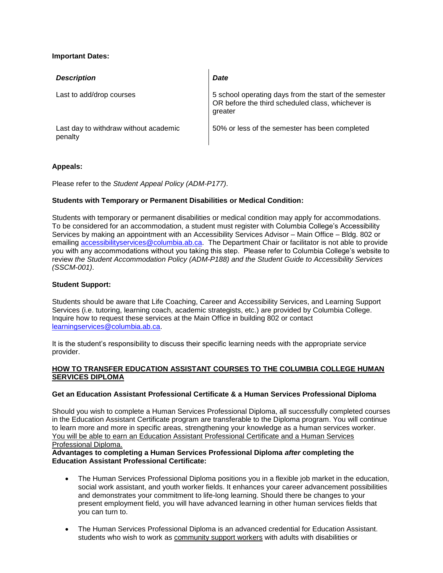# **Important Dates:**

| <b>Description</b>                               | <b>Date</b>                                                                                                            |
|--------------------------------------------------|------------------------------------------------------------------------------------------------------------------------|
| Last to add/drop courses                         | 5 school operating days from the start of the semester<br>OR before the third scheduled class, whichever is<br>greater |
| Last day to withdraw without academic<br>penalty | 50% or less of the semester has been completed                                                                         |

## **Appeals:**

Please refer to the *Student Appeal Policy (ADM-P177)*.

# **Students with Temporary or Permanent Disabilities or Medical Condition:**

Students with temporary or permanent disabilities or medical condition may apply for accommodations. To be considered for an accommodation, a student must register with Columbia College's Accessibility Services by making an appointment with an Accessibility Services Advisor – Main Office – Bldg. 802 or emailing [accessibilityservices@columbia.ab.ca.](mailto:accessibilityservices@columbia.ab.ca) The Department Chair or facilitator is not able to provide you with any accommodations without you taking this step. Please refer to Columbia College's website to review *the Student Accommodation Policy (ADM-P188) and the Student Guide to Accessibility Services (SSCM-001)*.

## **Student Support:**

Students should be aware that Life Coaching, Career and Accessibility Services, and Learning Support Services (i.e. tutoring, learning coach, academic strategists, etc.) are provided by Columbia College. Inquire how to request these services at the Main Office in building 802 or contact [learningservices@columbia.ab.ca.](mailto:learningservices@columbia.ab.ca)

It is the student's responsibility to discuss their specific learning needs with the appropriate service provider.

# **HOW TO TRANSFER EDUCATION ASSISTANT COURSES TO THE COLUMBIA COLLEGE HUMAN SERVICES DIPLOMA**

## **Get an Education Assistant Professional Certificate & a Human Services Professional Diploma**

Should you wish to complete a Human Services Professional Diploma, all successfully completed courses in the Education Assistant Certificate program are transferable to the Diploma program. You will continue to learn more and more in specific areas, strengthening your knowledge as a human services worker. You will be able to earn an Education Assistant Professional Certificate and a Human Services Professional Diploma.

## **Advantages to completing a Human Services Professional Diploma** *after* **completing the Education Assistant Professional Certificate:**

- The Human Services Professional Diploma positions you in a flexible job market in the education, social work assistant, and youth worker fields. It enhances your career advancement possibilities and demonstrates your commitment to life-long learning. Should there be changes to your present employment field, you will have advanced learning in other human services fields that you can turn to.
- The Human Services Professional Diploma is an advanced credential for Education Assistant. students who wish to work as community support workers with adults with disabilities or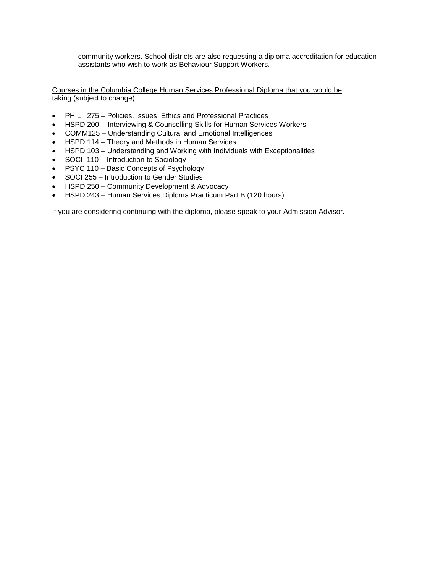community workers. School districts are also requesting a diploma accreditation for education assistants who wish to work as Behaviour Support Workers.

Courses in the Columbia College Human Services Professional Diploma that you would be taking:(subject to change)

- PHIL 275 Policies, Issues, Ethics and Professional Practices
- HSPD 200 Interviewing & Counselling Skills for Human Services Workers
- COMM125 Understanding Cultural and Emotional Intelligences
- HSPD 114 Theory and Methods in Human Services
- HSPD 103 Understanding and Working with Individuals with Exceptionalities
- SOCI 110 Introduction to Sociology
- PSYC 110 Basic Concepts of Psychology
- SOCI 255 Introduction to Gender Studies
- HSPD 250 Community Development & Advocacy
- HSPD 243 Human Services Diploma Practicum Part B (120 hours)

If you are considering continuing with the diploma, please speak to your Admission Advisor.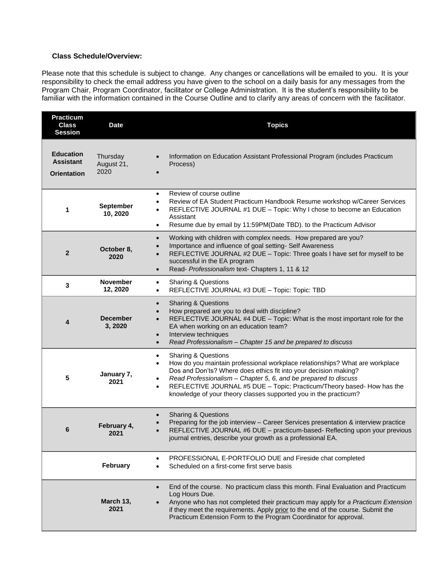# **Class Schedule/Overview:**

Please note that this schedule is subject to change. Any changes or cancellations will be emailed to you. It is your responsibility to check the email address you have given to the school on a daily basis for any messages from the Program Chair, Program Coordinator, facilitator or College Administration. It is the student's responsibility to be familiar with the information contained in the Course Outline and to clarify any areas of concern with the facilitator.

| <b>Practicum</b><br><b>Class</b><br><b>Session</b>         | <b>Date</b>                    | <b>Topics</b>                                                                                                                                                                                                                                                                                                                                                                                                                                          |  |  |
|------------------------------------------------------------|--------------------------------|--------------------------------------------------------------------------------------------------------------------------------------------------------------------------------------------------------------------------------------------------------------------------------------------------------------------------------------------------------------------------------------------------------------------------------------------------------|--|--|
| <b>Education</b><br><b>Assistant</b><br><b>Orientation</b> | Thursday<br>August 21,<br>2020 | Information on Education Assistant Professional Program (includes Practicum<br>$\bullet$<br>Process)                                                                                                                                                                                                                                                                                                                                                   |  |  |
| 1                                                          | <b>September</b><br>10, 2020   | Review of course outline<br>$\bullet$<br>Review of EA Student Practicum Handbook Resume workshop w/Career Services<br>REFLECTIVE JOURNAL #1 DUE - Topic: Why I chose to become an Education<br>Assistant<br>Resume due by email by 11:59PM(Date TBD). to the Practicum Advisor<br>$\bullet$                                                                                                                                                            |  |  |
| $\overline{2}$                                             | October 8,<br>2020             | Working with children with complex needs. How prepared are you?<br>$\bullet$<br>Importance and influence of goal setting- Self Awareness<br>$\bullet$<br>REFLECTIVE JOURNAL #2 DUE - Topic: Three goals I have set for myself to be<br>successful in the EA program<br>Read- Professionalism text- Chapters 1, 11 & 12<br>$\bullet$                                                                                                                    |  |  |
| 3                                                          | <b>November</b><br>12, 2020    | <b>Sharing &amp; Questions</b><br>$\bullet$<br>REFLECTIVE JOURNAL #3 DUE - Topic: Topic: TBD<br>$\bullet$                                                                                                                                                                                                                                                                                                                                              |  |  |
| 4                                                          | <b>December</b><br>3, 2020     | <b>Sharing &amp; Questions</b><br>$\bullet$<br>How prepared are you to deal with discipline?<br>$\bullet$<br>REFLECTIVE JOURNAL #4 DUE - Topic: What is the most important role for the<br>EA when working on an education team?<br>Interview techniques<br>$\bullet$<br>Read Professionalism - Chapter 15 and be prepared to discuss<br>$\bullet$                                                                                                     |  |  |
| 5                                                          | January 7,<br>2021             | <b>Sharing &amp; Questions</b><br>$\bullet$<br>How do you maintain professional workplace relationships? What are workplace<br>$\bullet$<br>Dos and Don'ts? Where does ethics fit into your decision making?<br>Read Professionalism - Chapter 5, 6, and be prepared to discuss<br>$\bullet$<br>REFLECTIVE JOURNAL #5 DUE - Topic: Practicum/Theory based-How has the<br>$\bullet$<br>knowledge of your theory classes supported you in the practicum? |  |  |
| 6                                                          | February 4,<br>2021            | <b>Sharing &amp; Questions</b><br>$\bullet$<br>Preparing for the job interview - Career Services presentation & interview practice<br>REFLECTIVE JOURNAL #6 DUE - practicum-based- Reflecting upon your previous<br>journal entries, describe your growth as a professional EA.                                                                                                                                                                        |  |  |
|                                                            | February                       | PROFESSIONAL E-PORTFOLIO DUE and Fireside chat completed<br>$\bullet$<br>Scheduled on a first-come first serve basis                                                                                                                                                                                                                                                                                                                                   |  |  |
|                                                            | March 13,<br>2021              | End of the course. No practicum class this month. Final Evaluation and Practicum<br>$\bullet$<br>Log Hours Due.<br>Anyone who has not completed their practicum may apply for a Practicum Extension<br>$\bullet$<br>if they meet the requirements. Apply prior to the end of the course. Submit the<br>Practicum Extension Form to the Program Coordinator for approval.                                                                               |  |  |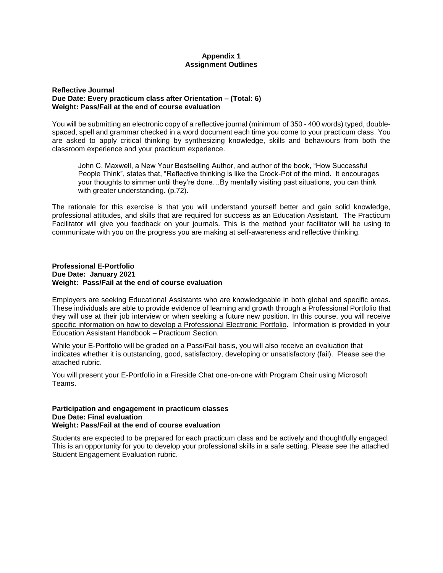## **Appendix 1 Assignment Outlines**

### **Reflective Journal Due Date: Every practicum class after Orientation – (Total: 6) Weight: Pass/Fail at the end of course evaluation**

You will be submitting an electronic copy of a reflective journal (minimum of 350 - 400 words) typed, doublespaced, spell and grammar checked in a word document each time you come to your practicum class. You are asked to apply critical thinking by synthesizing knowledge, skills and behaviours from both the classroom experience and your practicum experience.

John C. Maxwell, a New Your Bestselling Author, and author of the book, "How Successful People Think", states that, "Reflective thinking is like the Crock-Pot of the mind. It encourages your thoughts to simmer until they're done…By mentally visiting past situations, you can think with greater understanding. (p.72).

The rationale for this exercise is that you will understand yourself better and gain solid knowledge, professional attitudes, and skills that are required for success as an Education Assistant. The Practicum Facilitator will give you feedback on your journals. This is the method your facilitator will be using to communicate with you on the progress you are making at self-awareness and reflective thinking.

### **Professional E-Portfolio Due Date: January 2021 Weight: Pass/Fail at the end of course evaluation**

Employers are seeking Educational Assistants who are knowledgeable in both global and specific areas. These individuals are able to provide evidence of learning and growth through a Professional Portfolio that they will use at their job interview or when seeking a future new position. In this course, you will receive specific information on how to develop a Professional Electronic Portfolio. Information is provided in your Education Assistant Handbook – Practicum Section.

While your E-Portfolio will be graded on a Pass/Fail basis, you will also receive an evaluation that indicates whether it is outstanding, good, satisfactory, developing or unsatisfactory (fail). Please see the attached rubric.

You will present your E-Portfolio in a Fireside Chat one-on-one with Program Chair using Microsoft Teams.

#### **Participation and engagement in practicum classes Due Date: Final evaluation Weight: Pass/Fail at the end of course evaluation**

Students are expected to be prepared for each practicum class and be actively and thoughtfully engaged. This is an opportunity for you to develop your professional skills in a safe setting. Please see the attached Student Engagement Evaluation rubric.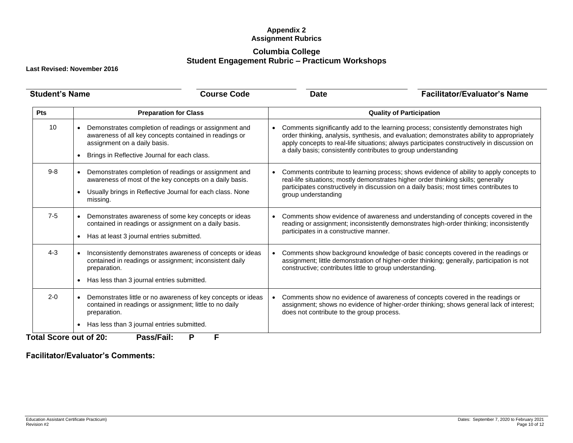# **Appendix 2 Assignment Rubrics**

# **Columbia College Student Engagement Rubric – Practicum Workshops**

**Last Revised: November 2016**

| <b>Student's Name</b> |                                                                                                                                                                                                 | <b>Course Code</b> | <b>Date</b>                                                                                                                                                                                                                                                                                                                                                    | <b>Facilitator/Evaluator's Name</b>                                                                                                                                                                                                                                   |  |
|-----------------------|-------------------------------------------------------------------------------------------------------------------------------------------------------------------------------------------------|--------------------|----------------------------------------------------------------------------------------------------------------------------------------------------------------------------------------------------------------------------------------------------------------------------------------------------------------------------------------------------------------|-----------------------------------------------------------------------------------------------------------------------------------------------------------------------------------------------------------------------------------------------------------------------|--|
| Pts                   | <b>Preparation for Class</b>                                                                                                                                                                    |                    | <b>Quality of Participation</b>                                                                                                                                                                                                                                                                                                                                |                                                                                                                                                                                                                                                                       |  |
| 10                    | Demonstrates completion of readings or assignment and<br>awareness of all key concepts contained in readings or<br>assignment on a daily basis.<br>Brings in Reflective Journal for each class. |                    | Comments significantly add to the learning process; consistently demonstrates high<br>$\bullet$<br>order thinking, analysis, synthesis, and evaluation; demonstrates ability to appropriately<br>apply concepts to real-life situations; always participates constructively in discussion on<br>a daily basis; consistently contributes to group understanding |                                                                                                                                                                                                                                                                       |  |
| $9 - 8$               | Demonstrates completion of readings or assignment and<br>awareness of most of the key concepts on a daily basis.<br>Usually brings in Reflective Journal for each class. None<br>missing.       |                    | group understanding                                                                                                                                                                                                                                                                                                                                            | Comments contribute to learning process; shows evidence of ability to apply concepts to<br>real-life situations; mostly demonstrates higher order thinking skills; generally<br>participates constructively in discussion on a daily basis; most times contributes to |  |
| $7 - 5$               | Demonstrates awareness of some key concepts or ideas<br>contained in readings or assignment on a daily basis.<br>Has at least 3 journal entries submitted.                                      |                    | participates in a constructive manner.                                                                                                                                                                                                                                                                                                                         | Comments show evidence of awareness and understanding of concepts covered in the<br>reading or assignment; inconsistently demonstrates high-order thinking; inconsistently                                                                                            |  |
| $4 - 3$               | Inconsistently demonstrates awareness of concepts or ideas<br>contained in readings or assignment; inconsistent daily<br>preparation.<br>Has less than 3 journal entries submitted.             |                    | Comments show background knowledge of basic concepts covered in the readings or<br>$\bullet$<br>assignment; little demonstration of higher-order thinking; generally, participation is not<br>constructive; contributes little to group understanding.                                                                                                         |                                                                                                                                                                                                                                                                       |  |
| $2 - 0$               | Demonstrates little or no awareness of key concepts or ideas<br>contained in readings or assignment; little to no daily<br>preparation.                                                         | $\bullet$          | does not contribute to the group process.                                                                                                                                                                                                                                                                                                                      | Comments show no evidence of awareness of concepts covered in the readings or<br>assignment; shows no evidence of higher-order thinking; shows general lack of interest;                                                                                              |  |
|                       | Has less than 3 journal entries submitted.<br>$\bullet$                                                                                                                                         |                    |                                                                                                                                                                                                                                                                                                                                                                |                                                                                                                                                                                                                                                                       |  |

**Facilitator/Evaluator's Comments:**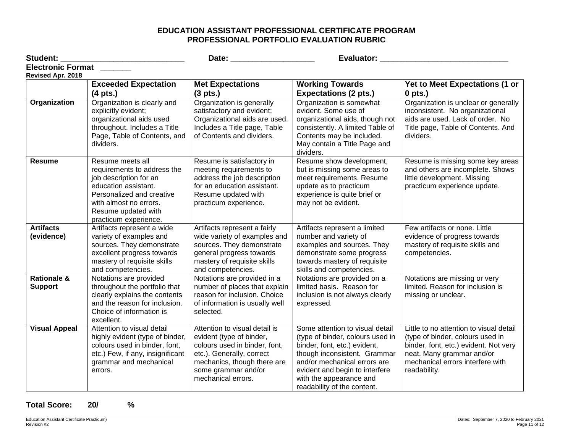# **EDUCATION ASSISTANT PROFESSIONAL CERTIFICATE PROGRAM PROFESSIONAL PORTFOLIO EVALUATION RUBRIC**

| Student:                                      |                                                                                                                                                                                                          | Evaluator: Evaluator:                                                                                                                                                                               |                                                                                                                                                                                                                                                                 |                                                                                                                                                                                                       |
|-----------------------------------------------|----------------------------------------------------------------------------------------------------------------------------------------------------------------------------------------------------------|-----------------------------------------------------------------------------------------------------------------------------------------------------------------------------------------------------|-----------------------------------------------------------------------------------------------------------------------------------------------------------------------------------------------------------------------------------------------------------------|-------------------------------------------------------------------------------------------------------------------------------------------------------------------------------------------------------|
| <b>Electronic Format</b><br>Revised Apr. 2018 |                                                                                                                                                                                                          |                                                                                                                                                                                                     |                                                                                                                                                                                                                                                                 |                                                                                                                                                                                                       |
|                                               | <b>Exceeded Expectation</b>                                                                                                                                                                              | <b>Met Expectations</b>                                                                                                                                                                             | <b>Working Towards</b>                                                                                                                                                                                                                                          | Yet to Meet Expectations (1 or                                                                                                                                                                        |
|                                               | $(4$ pts.)                                                                                                                                                                                               | $(3 \text{ pts.})$                                                                                                                                                                                  | <b>Expectations (2 pts.)</b>                                                                                                                                                                                                                                    | $0$ pts.)                                                                                                                                                                                             |
| Organization                                  | Organization is clearly and<br>explicitly evident;<br>organizational aids used<br>throughout. Includes a Title<br>Page, Table of Contents, and<br>dividers.                                              | Organization is generally<br>satisfactory and evident;<br>Organizational aids are used.<br>Includes a Title page, Table<br>of Contents and dividers.                                                | Organization is somewhat<br>evident. Some use of<br>organizational aids, though not<br>consistently. A limited Table of<br>Contents may be included.<br>May contain a Title Page and<br>dividers.                                                               | Organization is unclear or generally<br>inconsistent. No organizational<br>aids are used. Lack of order. No<br>Title page, Table of Contents. And<br>dividers.                                        |
| <b>Resume</b>                                 | Resume meets all<br>requirements to address the<br>job description for an<br>education assistant.<br>Personalized and creative<br>with almost no errors.<br>Resume updated with<br>practicum experience. | Resume is satisfactory in<br>meeting requirements to<br>address the job description<br>for an education assistant.<br>Resume updated with<br>practicum experience.                                  | Resume show development,<br>but is missing some areas to<br>meet requirements. Resume<br>update as to practicum<br>experience is quite brief or<br>may not be evident.                                                                                          | Resume is missing some key areas<br>and others are incomplete. Shows<br>little development. Missing<br>practicum experience update.                                                                   |
| <b>Artifacts</b><br>(evidence)                | Artifacts represent a wide<br>variety of examples and<br>sources. They demonstrate<br>excellent progress towards<br>mastery of requisite skills<br>and competencies.                                     | Artifacts represent a fairly<br>wide variety of examples and<br>sources. They demonstrate<br>general progress towards<br>mastery of requisite skills<br>and competencies.                           | Artifacts represent a limited<br>number and variety of<br>examples and sources. They<br>demonstrate some progress<br>towards mastery of requisite<br>skills and competencies.                                                                                   | Few artifacts or none. Little<br>evidence of progress towards<br>mastery of requisite skills and<br>competencies.                                                                                     |
| <b>Rationale &amp;</b><br><b>Support</b>      | Notations are provided<br>throughout the portfolio that<br>clearly explains the contents<br>and the reason for inclusion.<br>Choice of information is<br>excellent.                                      | Notations are provided in a<br>number of places that explain<br>reason for inclusion. Choice<br>of information is usually well<br>selected.                                                         | Notations are provided on a<br>limited basis. Reason for<br>inclusion is not always clearly<br>expressed.                                                                                                                                                       | Notations are missing or very<br>limited. Reason for inclusion is<br>missing or unclear.                                                                                                              |
| <b>Visual Appeal</b>                          | Attention to visual detail<br>highly evident (type of binder,<br>colours used in binder, font,<br>etc.) Few, if any, insignificant<br>grammar and mechanical<br>errors.                                  | Attention to visual detail is<br>evident (type of binder,<br>colours used in binder, font,<br>etc.). Generally, correct<br>mechanics, though there are<br>some grammar and/or<br>mechanical errors. | Some attention to visual detail<br>(type of binder, colours used in<br>binder, font, etc.) evident,<br>though inconsistent. Grammar<br>and/or mechanical errors are<br>evident and begin to interfere<br>with the appearance and<br>readability of the content. | Little to no attention to visual detail<br>(type of binder, colours used in<br>binder, font, etc.) evident. Not very<br>neat. Many grammar and/or<br>mechanical errors interfere with<br>readability. |

**Total Score: 20/ %**